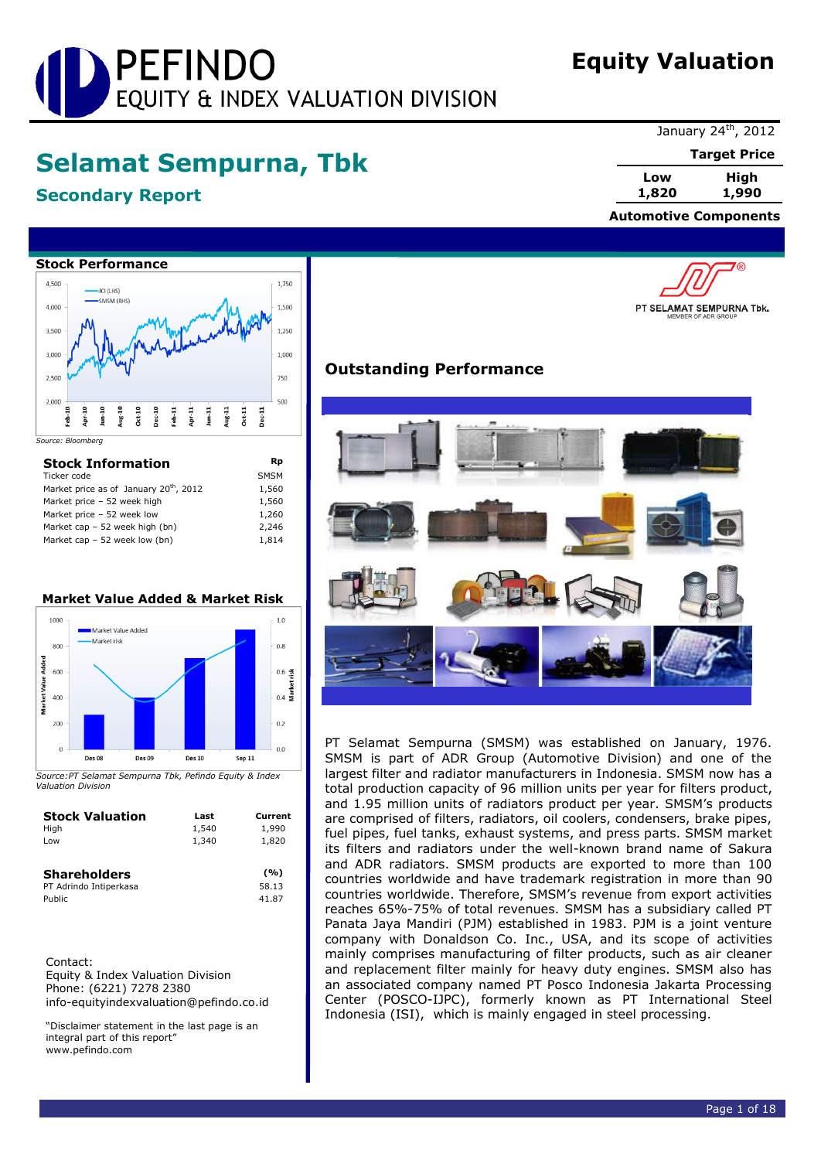# PEFINDO EQUITY & INDEX VALUATION DIVISION

## **Equity Valuation**

## **Selamat Sempurna, Tbk**

## **Secondary Report**

January 24<sup>th</sup>, 2012

**Target Price**

'®

**Low High 1,820 1,990**

 **Automotive Components**

PT SELAMAT SEMPURNA Tbk.



| <b>Stock Information</b>                           | Rp          |
|----------------------------------------------------|-------------|
| Ticker code                                        | <b>SMSM</b> |
| Market price as of January 20 <sup>th</sup> , 2012 | 1,560       |
| Market price - 52 week high                        | 1,560       |
| Market price - 52 week low                         | 1,260       |
| Market cap - 52 week high (bn)                     | 2.246       |
| Market cap $-52$ week low (bn)                     | 1,814       |

## **Market Value Added & Market Risk**



*Source:PT Selamat Sempurna Tbk, Pefindo Equity & Index Valuation Division*

| <b>Stock Valuation</b>                                  | Last  | Current               |
|---------------------------------------------------------|-------|-----------------------|
| High                                                    | 1,540 | 1,990                 |
| Low                                                     | 1,340 | 1,820                 |
| <b>Shareholders</b><br>PT Adrindo Intiperkasa<br>Public |       | (%)<br>58.13<br>41.87 |

Contact: Equity & Index Valuation Division Phone: (6221) 7278 2380 info-equityindexvaluation@pefindo.co.id

"Disclaimer statement in the last page is an integral part of this report" www.pefindo.com

## **Outstanding Performance**



PT Selamat Sempurna (SMSM) was established on January, 1976. SMSM is part of ADR Group (Automotive Division) and one of the largest filter and radiator manufacturers in Indonesia. SMSM now has a total production capacity of 96 million units per year for filters product, and 1.95 million units of radiators product per year. SMSM's products are comprised of filters, radiators, oil coolers, condensers, brake pipes, fuel pipes, fuel tanks, exhaust systems, and press parts. SMSM market its filters and radiators under the well-known brand name of Sakura and ADR radiators. SMSM products are exported to more than 100 countries worldwide and have trademark registration in more than 90 countries worldwide. Therefore, SMSM's revenue from export activities reaches 65%-75% of total revenues. SMSM has a subsidiary called PT Panata Jaya Mandiri (PJM) established in 1983. PJM is a joint venture company with Donaldson Co. Inc., USA, and its scope of activities mainly comprises manufacturing of filter products, such as air cleaner and replacement filter mainly for heavy duty engines. SMSM also has an associated company named PT Posco Indonesia Jakarta Processing Center (POSCO-IJPC), formerly known as PT International Steel Indonesia (ISI), which is mainly engaged in steel processing.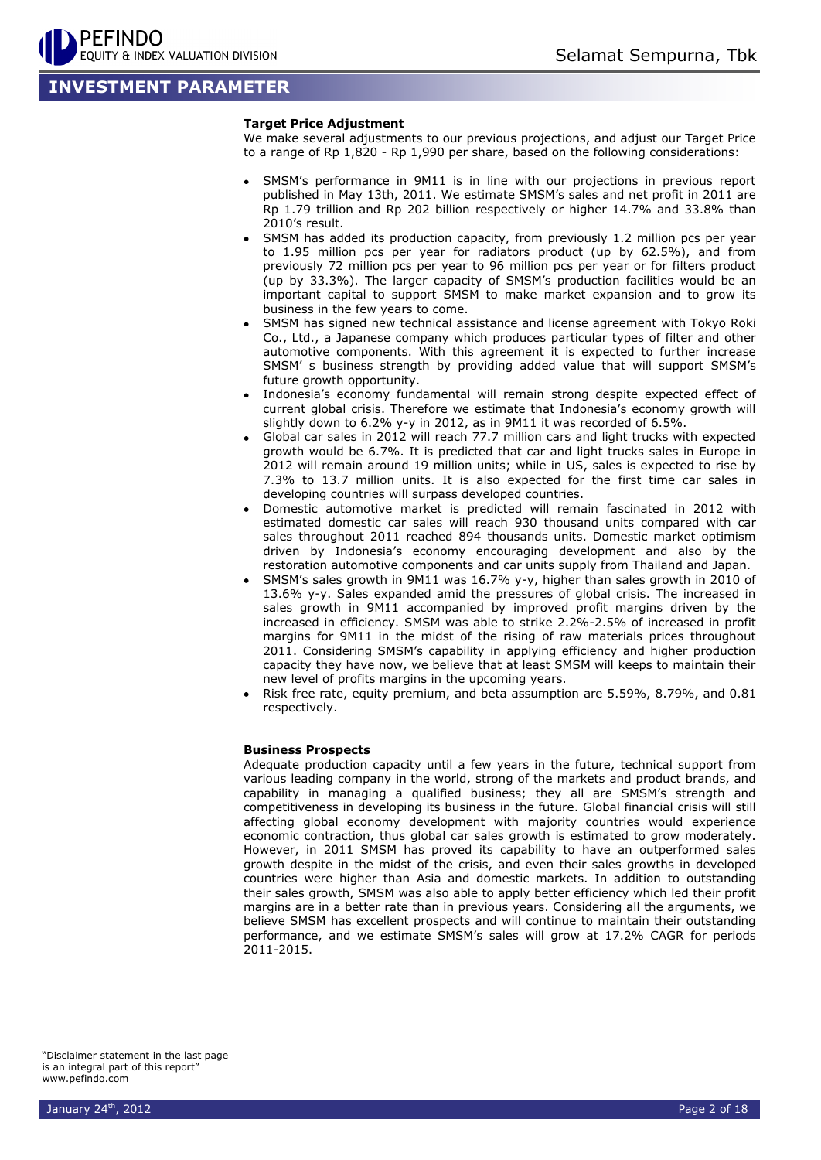## **INVESTMENT PARAMETER**

#### **Target Price Adjustment**

We make several adjustments to our previous projections, and adjust our Target Price to a range of Rp 1,820 - Rp 1,990 per share, based on the following considerations:

- SMSM's performance in 9M11 is in line with our projections in previous report published in May 13th, 2011. We estimate SMSM's sales and net profit in 2011 are Rp 1.79 trillion and Rp 202 billion respectively or higher 14.7% and 33.8% than 2010's result.
- SMSM has added its production capacity, from previously 1.2 million pcs per year to 1.95 million pcs per year for radiators product (up by 62.5%), and from previously 72 million pcs per year to 96 million pcs per year or for filters product (up by 33.3%). The larger capacity of SMSM's production facilities would be an important capital to support SMSM to make market expansion and to grow its business in the few years to come.
- SMSM has signed new technical assistance and license agreement with Tokyo Roki Co., Ltd., a Japanese company which produces particular types of filter and other automotive components. With this agreement it is expected to further increase SMSM' s business strength by providing added value that will support SMSM's future growth opportunity.
- Indonesia's economy fundamental will remain strong despite expected effect of current global crisis. Therefore we estimate that Indonesia's economy growth will slightly down to 6.2% y-y in 2012, as in 9M11 it was recorded of 6.5%.
- Global car sales in 2012 will reach 77.7 million cars and light trucks with expected growth would be 6.7%. It is predicted that car and light trucks sales in Europe in 2012 will remain around 19 million units; while in US, sales is expected to rise by 7.3% to 13.7 million units. It is also expected for the first time car sales in developing countries will surpass developed countries.
- Domestic automotive market is predicted will remain fascinated in 2012 with estimated domestic car sales will reach 930 thousand units compared with car sales throughout 2011 reached 894 thousands units. Domestic market optimism driven by Indonesia's economy encouraging development and also by the restoration automotive components and car units supply from Thailand and Japan.
- SMSM's sales growth in 9M11 was 16.7% y-y, higher than sales growth in 2010 of 13.6% y-y. Sales expanded amid the pressures of global crisis. The increased in sales growth in 9M11 accompanied by improved profit margins driven by the increased in efficiency. SMSM was able to strike 2.2%-2.5% of increased in profit margins for 9M11 in the midst of the rising of raw materials prices throughout 2011. Considering SMSM's capability in applying efficiency and higher production capacity they have now, we believe that at least SMSM will keeps to maintain their new level of profits margins in the upcoming years.
- Risk free rate, equity premium, and beta assumption are 5.59%, 8.79%, and 0.81 respectively.

#### **Business Prospects**

Adequate production capacity until a few years in the future, technical support from various leading company in the world, strong of the markets and product brands, and capability in managing a qualified business; they all are SMSM's strength and competitiveness in developing its business in the future. Global financial crisis will still affecting global economy development with majority countries would experience economic contraction, thus global car sales growth is estimated to grow moderately. However, in 2011 SMSM has proved its capability to have an outperformed sales growth despite in the midst of the crisis, and even their sales growths in developed countries were higher than Asia and domestic markets. In addition to outstanding their sales growth, SMSM was also able to apply better efficiency which led their profit margins are in a better rate than in previous years. Considering all the arguments, we believe SMSM has excellent prospects and will continue to maintain their outstanding performance, and we estimate SMSM's sales will grow at 17.2% CAGR for periods 2011-2015.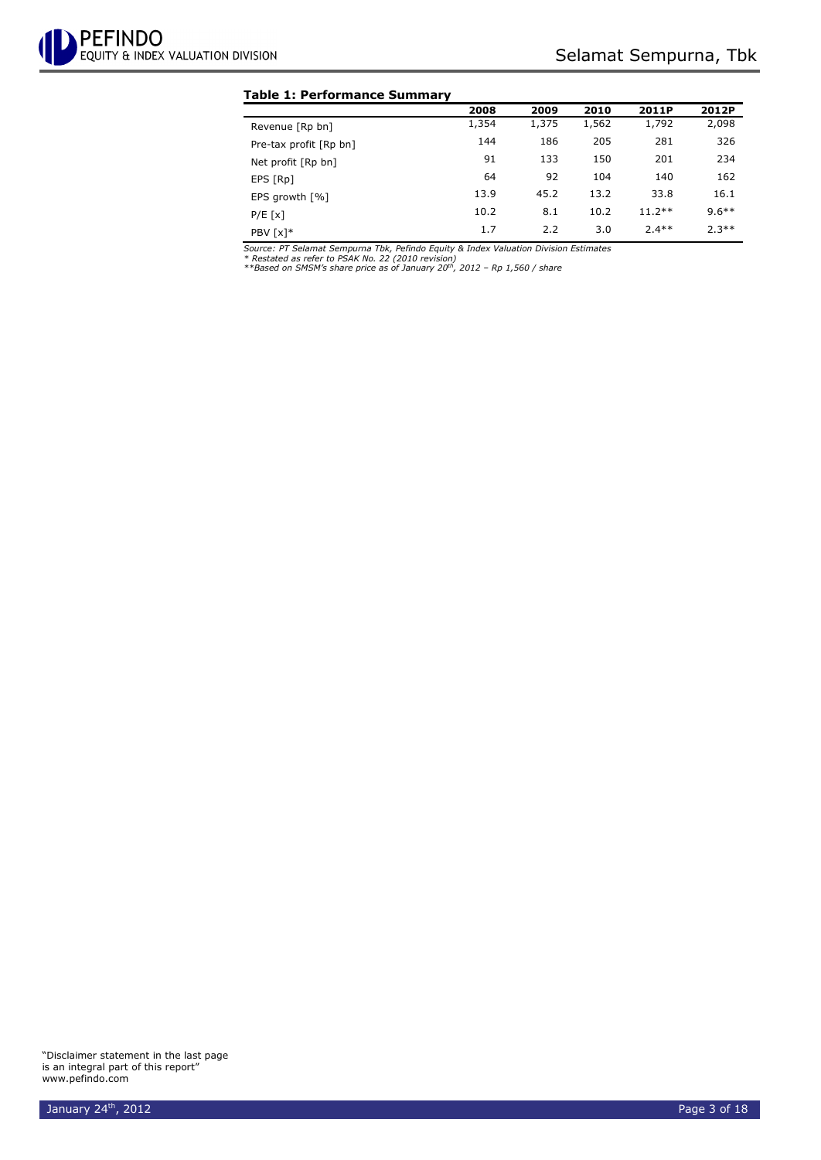#### **Table 1: Performance Summary**

|                        | 2008  | 2009  | 2010  | 2011P    | 2012P    |
|------------------------|-------|-------|-------|----------|----------|
| Revenue [Rp bn]        | 1,354 | 1,375 | 1,562 | 1,792    | 2,098    |
| Pre-tax profit [Rp bn] | 144   | 186   | 205   | 281      | 326      |
| Net profit [Rp bn]     | 91    | 133   | 150   | 201      | 234      |
| EPS [Rp]               | 64    | 92    | 104   | 140      | 162      |
| EPS growth $[%]$       | 13.9  | 45.2  | 13.2  | 33.8     | 16.1     |
| P/E[x]                 | 10.2  | 8.1   | 10.2  | $11.2**$ | $9.6***$ |
| PBV [x]*               | 1.7   | 2.2   | 3.0   | $2.4**$  | $2.3**$  |

Source: PT Selamat Sempurna Tbk, Pefindo Equity & Index Valuation Division Estimates<br>\* Restated as refer to PSAK No. 22 (2010 revision)<br>\*\*Based on SMSM's share price as of January 20™, 2012 – Rp 1,560 / share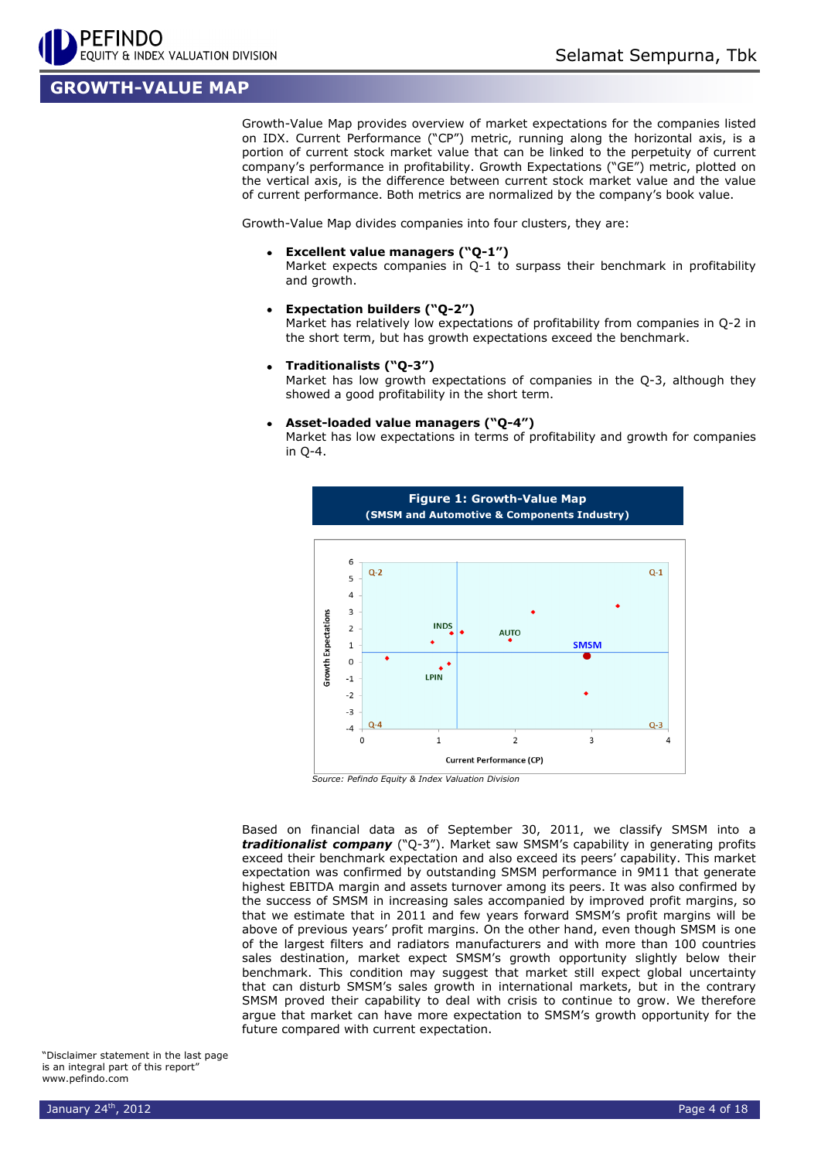## **GROWTH-VALUE MAP**

Growth-Value Map provides overview of market expectations for the companies listed on IDX. Current Performance ("CP") metric, running along the horizontal axis, is a portion of current stock market value that can be linked to the perpetuity of current company's performance in profitability. Growth Expectations ("GE") metric, plotted on the vertical axis, is the difference between current stock market value and the value of current performance. Both metrics are normalized by the company's book value.

Growth-Value Map divides companies into four clusters, they are:

**Excellent value managers ("Q-1")**

Market expects companies in Q-1 to surpass their benchmark in profitability and growth.

**Expectation builders ("Q-2")**

Market has relatively low expectations of profitability from companies in Q-2 in the short term, but has growth expectations exceed the benchmark.

**Traditionalists ("Q-3")**

Market has low growth expectations of companies in the Q-3, although they showed a good profitability in the short term.

#### **Asset-loaded value managers ("Q-4")**

Market has low expectations in terms of profitability and growth for companies in Q-4.



*Source: Pefindo Equity & Index Valuation Division*

Based on financial data as of September 30, 2011, we classify SMSM into a *traditionalist company* ("Q-3"). Market saw SMSM's capability in generating profits exceed their benchmark expectation and also exceed its peers' capability. This market expectation was confirmed by outstanding SMSM performance in 9M11 that generate highest EBITDA margin and assets turnover among its peers. It was also confirmed by the success of SMSM in increasing sales accompanied by improved profit margins, so that we estimate that in 2011 and few years forward SMSM's profit margins will be above of previous years' profit margins. On the other hand, even though SMSM is one of the largest filters and radiators manufacturers and with more than 100 countries sales destination, market expect SMSM's growth opportunity slightly below their benchmark. This condition may suggest that market still expect global uncertainty that can disturb SMSM's sales growth in international markets, but in the contrary SMSM proved their capability to deal with crisis to continue to grow. We therefore argue that market can have more expectation to SMSM's growth opportunity for the future compared with current expectation.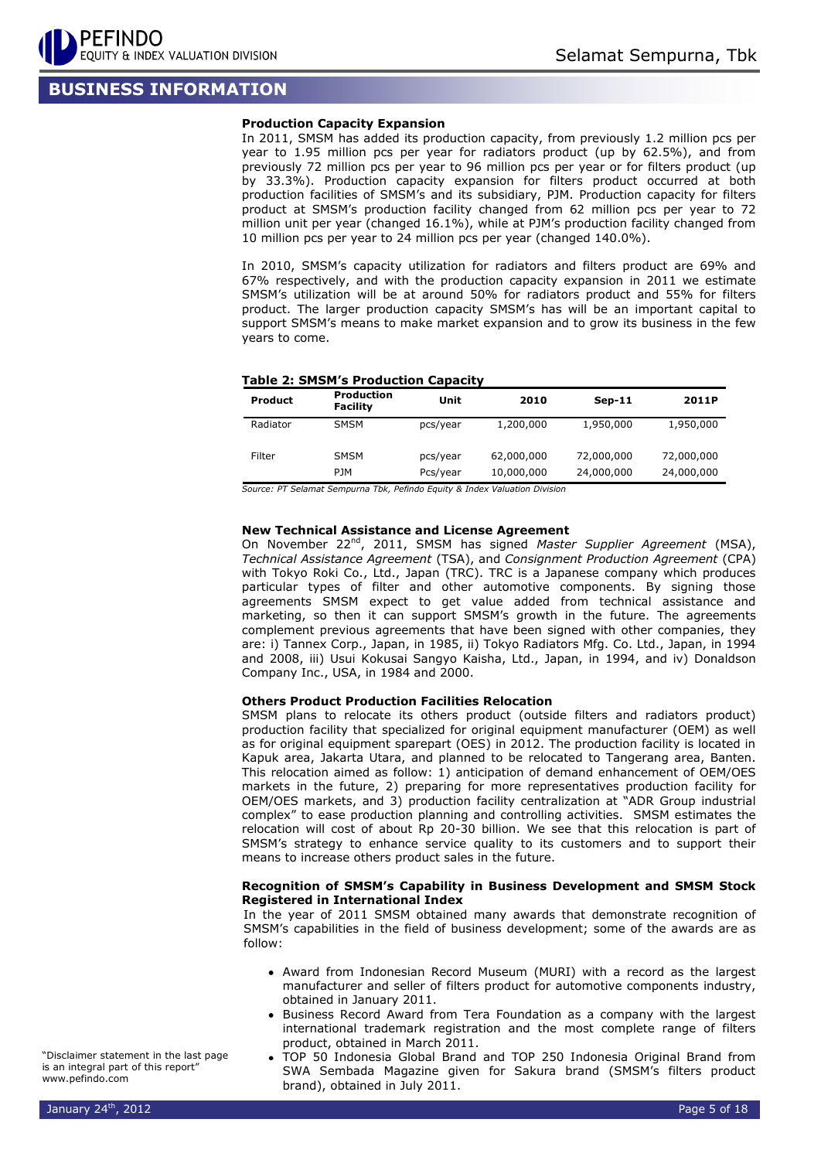## **BUSINESS INFORMATION**

#### **Production Capacity Expansion**

In 2011, SMSM has added its production capacity, from previously 1.2 million pcs per year to 1.95 million pcs per year for radiators product (up by 62.5%), and from previously 72 million pcs per year to 96 million pcs per year or for filters product (up by 33.3%). Production capacity expansion for filters product occurred at both production facilities of SMSM's and its subsidiary, PJM. Production capacity for filters product at SMSM's production facility changed from 62 million pcs per year to 72 million unit per year (changed 16.1%), while at PJM's production facility changed from 10 million pcs per year to 24 million pcs per year (changed 140.0%).

In 2010, SMSM's capacity utilization for radiators and filters product are 69% and 67% respectively, and with the production capacity expansion in 2011 we estimate SMSM's utilization will be at around 50% for radiators product and 55% for filters product. The larger production capacity SMSM's has will be an important capital to support SMSM's means to make market expansion and to grow its business in the few years to come.

#### **Table 2: SMSM's Production Capacity**

| <b>Product</b> | <b>Production</b><br><b>Facility</b> | Unit                 | 2010                     | $Sep-11$                 | 2011P                    |
|----------------|--------------------------------------|----------------------|--------------------------|--------------------------|--------------------------|
| Radiator       | <b>SMSM</b>                          | pcs/year             | 1,200,000                | 1,950,000                | 1,950,000                |
| Filter         | <b>SMSM</b><br><b>PJM</b>            | pcs/year<br>Pcs/year | 62,000,000<br>10,000,000 | 72,000,000<br>24,000,000 | 72,000,000<br>24,000,000 |

*Source: PT Selamat Sempurna Tbk, Pefindo Equity & Index Valuation Division*

#### **New Technical Assistance and License Agreement**

On November 22<sup>nd</sup>, 2011, SMSM has signed *Master Supplier Agreement* (MSA), *Technical Assistance Agreement* (TSA), and *Consignment Production Agreement* (CPA) with Tokyo Roki Co., Ltd., Japan (TRC). TRC is a Japanese company which produces particular types of filter and other automotive components. By signing those agreements SMSM expect to get value added from technical assistance and marketing, so then it can support SMSM's growth in the future. The agreements complement previous agreements that have been signed with other companies, they are: i) Tannex Corp., Japan, in 1985, ii) Tokyo Radiators Mfg. Co. Ltd., Japan, in 1994 and 2008, iii) Usui Kokusai Sangyo Kaisha, Ltd., Japan, in 1994, and iv) Donaldson Company Inc., USA, in 1984 and 2000.

#### **Others Product Production Facilities Relocation**

SMSM plans to relocate its others product (outside filters and radiators product) production facility that specialized for original equipment manufacturer (OEM) as well as for original equipment sparepart (OES) in 2012. The production facility is located in Kapuk area, Jakarta Utara, and planned to be relocated to Tangerang area, Banten. This relocation aimed as follow: 1) anticipation of demand enhancement of OEM/OES markets in the future, 2) preparing for more representatives production facility for OEM/OES markets, and 3) production facility centralization at "ADR Group industrial complex" to ease production planning and controlling activities. SMSM estimates the relocation will cost of about Rp 20-30 billion. We see that this relocation is part of SMSM's strategy to enhance service quality to its customers and to support their means to increase others product sales in the future.

#### **Recognition of SMSM's Capability in Business Development and SMSM Stock Registered in International Index**

In the year of 2011 SMSM obtained many awards that demonstrate recognition of SMSM's capabilities in the field of business development; some of the awards are as follow:

- Award from Indonesian Record Museum (MURI) with a record as the largest manufacturer and seller of filters product for automotive components industry, obtained in January 2011.
- Business Record Award from Tera Foundation as a company with the largest international trademark registration and the most complete range of filters product, obtained in March 2011.
- TOP 50 Indonesia Global Brand and TOP 250 Indonesia Original Brand from SWA Sembada Magazine given for Sakura brand (SMSM's filters product brand), obtained in July 2011.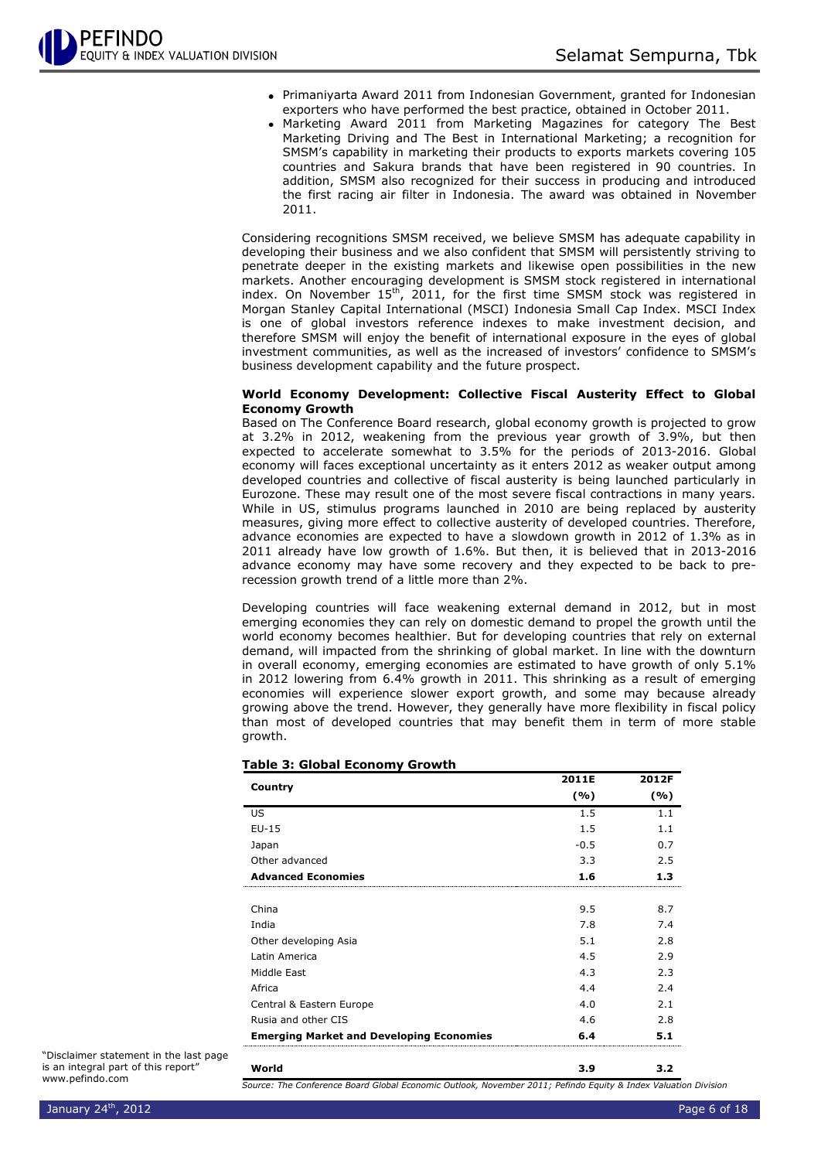- Primaniyarta Award 2011 from Indonesian Government, granted for Indonesian exporters who have performed the best practice, obtained in October 2011.
- Marketing Award 2011 from Marketing Magazines for category The Best Marketing Driving and The Best in International Marketing; a recognition for SMSM's capability in marketing their products to exports markets covering 105 countries and Sakura brands that have been registered in 90 countries. In addition, SMSM also recognized for their success in producing and introduced the first racing air filter in Indonesia. The award was obtained in November 2011.

Considering recognitions SMSM received, we believe SMSM has adequate capability in developing their business and we also confident that SMSM will persistently striving to penetrate deeper in the existing markets and likewise open possibilities in the new markets. Another encouraging development is SMSM stock registered in international index. On November  $15<sup>th</sup>$ , 2011, for the first time SMSM stock was registered in Morgan Stanley Capital International (MSCI) Indonesia Small Cap Index. MSCI Index is one of global investors reference indexes to make investment decision, and therefore SMSM will enjoy the benefit of international exposure in the eyes of global investment communities, as well as the increased of investors' confidence to SMSM's business development capability and the future prospect.

#### **World Economy Development: Collective Fiscal Austerity Effect to Global Economy Growth**

Based on The Conference Board research, global economy growth is projected to grow at 3.2% in 2012, weakening from the previous year growth of 3.9%, but then expected to accelerate somewhat to 3.5% for the periods of 2013-2016. Global economy will faces exceptional uncertainty as it enters 2012 as weaker output among developed countries and collective of fiscal austerity is being launched particularly in Eurozone. These may result one of the most severe fiscal contractions in many years. While in US, stimulus programs launched in 2010 are being replaced by austerity measures, giving more effect to collective austerity of developed countries. Therefore, advance economies are expected to have a slowdown growth in 2012 of 1.3% as in 2011 already have low growth of 1.6%. But then, it is believed that in 2013-2016 advance economy may have some recovery and they expected to be back to prerecession growth trend of a little more than 2%.

Developing countries will face weakening external demand in 2012, but in most emerging economies they can rely on domestic demand to propel the growth until the world economy becomes healthier. But for developing countries that rely on external demand, will impacted from the shrinking of global market. In line with the downturn in overall economy, emerging economies are estimated to have growth of only 5.1% in 2012 lowering from 6.4% growth in 2011. This shrinking as a result of emerging economies will experience slower export growth, and some may because already growing above the trend. However, they generally have more flexibility in fiscal policy than most of developed countries that may benefit them in term of more stable growth.

|                                                 | 2011E  | 2012F |
|-------------------------------------------------|--------|-------|
| Country                                         | (9/6)  | ( %)  |
| US                                              | 1.5    | 1.1   |
| $EU-15$                                         | 1.5    | 1.1   |
| Japan                                           | $-0.5$ | 0.7   |
| Other advanced                                  | 3.3    | 2.5   |
| <b>Advanced Economies</b>                       | 1.6    | 1.3   |
|                                                 |        |       |
| China                                           | 9.5    | 8.7   |
| India                                           | 7.8    | 7.4   |
| Other developing Asia                           | 5.1    | 2.8   |
| Latin America                                   | 4.5    | 2.9   |
| Middle East                                     | 4.3    | 2.3   |
| Africa                                          | 4.4    | 2.4   |
| Central & Eastern Europe                        | 4.0    | 2.1   |
| Rusia and other CIS                             | 4.6    | 2.8   |
| <b>Emerging Market and Developing Economies</b> | 6.4    | 5.1   |
| World                                           | 3.9    | 3.2   |

#### **Table 3: Global Economy Growth**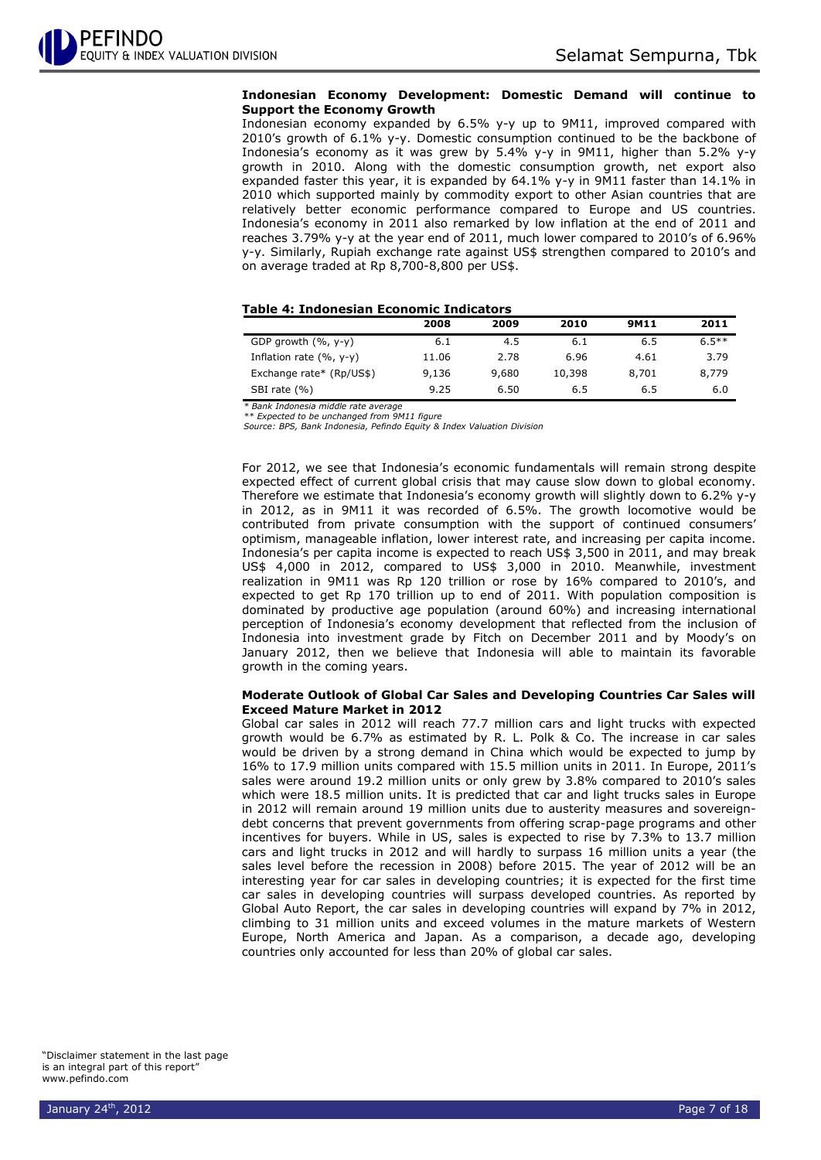#### **Indonesian Economy Development: Domestic Demand will continue to Support the Economy Growth**

Indonesian economy expanded by 6.5% y-y up to 9M11, improved compared with 2010's growth of 6.1% y-y. Domestic consumption continued to be the backbone of Indonesia's economy as it was grew by 5.4% y-y in 9M11, higher than 5.2% y-y growth in 2010. Along with the domestic consumption growth, net export also expanded faster this year, it is expanded by 64.1% y-y in 9M11 faster than 14.1% in 2010 which supported mainly by commodity export to other Asian countries that are relatively better economic performance compared to Europe and US countries. Indonesia's economy in 2011 also remarked by low inflation at the end of 2011 and reaches 3.79% y-y at the year end of 2011, much lower compared to 2010's of 6.96% y-y. Similarly, Rupiah exchange rate against US\$ strengthen compared to 2010's and on average traded at Rp 8,700-8,800 per US\$.

#### **Table 4: Indonesian Economic Indicators**

|                            | 2008  | 2009  | 2010   | 9M11  | 2011     |
|----------------------------|-------|-------|--------|-------|----------|
| GDP growth $(%$ , y-y)     | 6.1   | 4.5   | 6.1    | 6.5   | $6.5***$ |
| Inflation rate $(% , y-y)$ | 11.06 | 2.78  | 6.96   | 4.61  | 3.79     |
| Exchange rate* (Rp/US\$)   | 9,136 | 9,680 | 10,398 | 8,701 | 8,779    |
| SBI rate (%)               | 9.25  | 6.50  | 6.5    | 6.5   | 6.0      |

*\* Bank Indonesia middle rate average \*\* Expected to be unchanged from 9M11 figure*

*Source: BPS, Bank Indonesia, Pefindo Equity & Index Valuation Division*

For 2012, we see that Indonesia's economic fundamentals will remain strong despite expected effect of current global crisis that may cause slow down to global economy. Therefore we estimate that Indonesia's economy growth will slightly down to 6.2% y-y in 2012, as in 9M11 it was recorded of 6.5%. The growth locomotive would be contributed from private consumption with the support of continued consumers' optimism, manageable inflation, lower interest rate, and increasing per capita income. Indonesia's per capita income is expected to reach US\$ 3,500 in 2011, and may break US\$ 4,000 in 2012, compared to US\$ 3,000 in 2010. Meanwhile, investment realization in 9M11 was Rp 120 trillion or rose by 16% compared to 2010's, and expected to get Rp 170 trillion up to end of 2011. With population composition is dominated by productive age population (around 60%) and increasing international perception of Indonesia's economy development that reflected from the inclusion of Indonesia into investment grade by Fitch on December 2011 and by Moody's on January 2012, then we believe that Indonesia will able to maintain its favorable growth in the coming years.

#### **Moderate Outlook of Global Car Sales and Developing Countries Car Sales will Exceed Mature Market in 2012**

Global car sales in 2012 will reach 77.7 million cars and light trucks with expected growth would be 6.7% as estimated by R. L. Polk & Co. The increase in car sales would be driven by a strong demand in China which would be expected to jump by 16% to 17.9 million units compared with 15.5 million units in 2011. In Europe, 2011's sales were around 19.2 million units or only grew by 3.8% compared to 2010's sales which were 18.5 million units. It is predicted that car and light trucks sales in Europe in 2012 will remain around 19 million units due to austerity measures and sovereigndebt concerns that prevent governments from offering scrap-page programs and other incentives for buyers. While in US, sales is expected to rise by 7.3% to 13.7 million cars and light trucks in 2012 and will hardly to surpass 16 million units a year (the sales level before the recession in 2008) before 2015. The year of 2012 will be an interesting year for car sales in developing countries; it is expected for the first time car sales in developing countries will surpass developed countries. As reported by Global Auto Report, the car sales in developing countries will expand by 7% in 2012, climbing to 31 million units and exceed volumes in the mature markets of Western Europe, North America and Japan. As a comparison, a decade ago, developing countries only accounted for less than 20% of global car sales.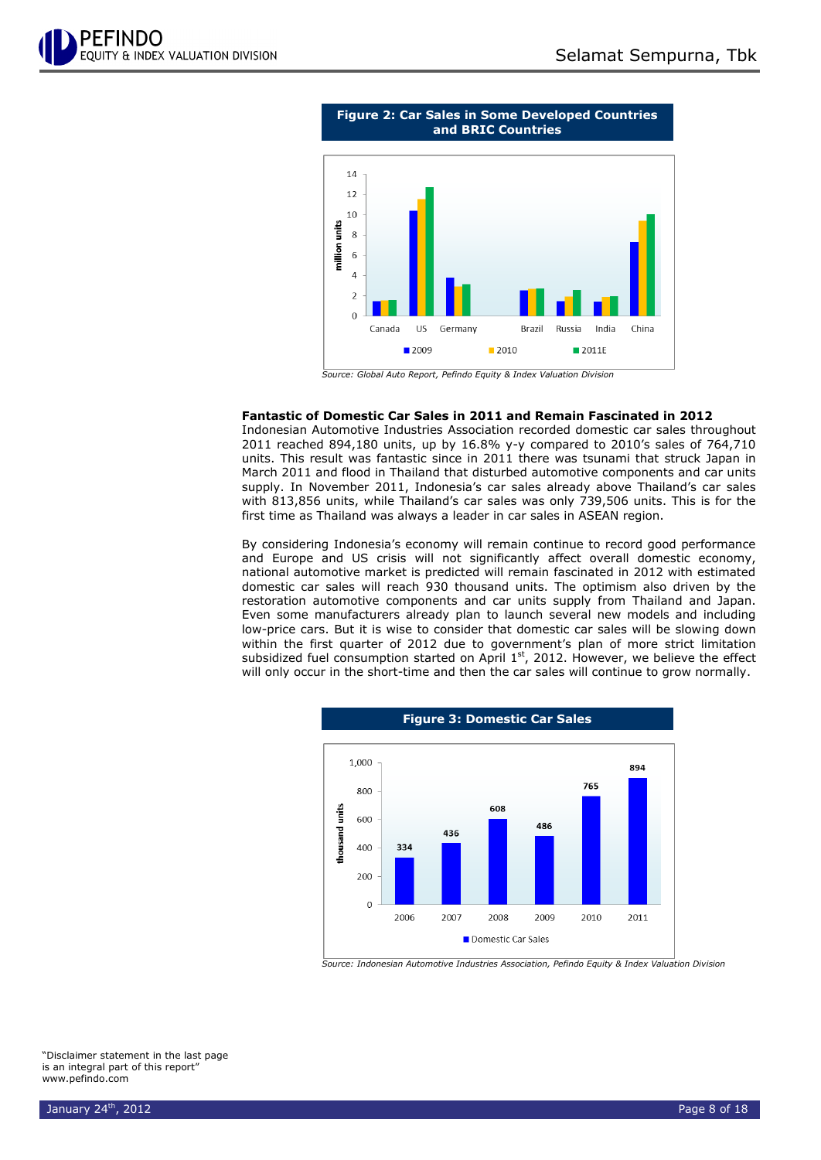



#### **Fantastic of Domestic Car Sales in 2011 and Remain Fascinated in 2012**

Indonesian Automotive Industries Association recorded domestic car sales throughout 2011 reached 894,180 units, up by 16.8% y-y compared to 2010's sales of 764,710 units. This result was fantastic since in 2011 there was tsunami that struck Japan in March 2011 and flood in Thailand that disturbed automotive components and car units supply. In November 2011, Indonesia's car sales already above Thailand's car sales with 813,856 units, while Thailand's car sales was only 739,506 units. This is for the first time as Thailand was always a leader in car sales in ASEAN region.

By considering Indonesia's economy will remain continue to record good performance and Europe and US crisis will not significantly affect overall domestic economy, national automotive market is predicted will remain fascinated in 2012 with estimated domestic car sales will reach 930 thousand units. The optimism also driven by the restoration automotive components and car units supply from Thailand and Japan. Even some manufacturers already plan to launch several new models and including low-price cars. But it is wise to consider that domestic car sales will be slowing down within the first quarter of 2012 due to government's plan of more strict limitation subsidized fuel consumption started on April  $1<sup>st</sup>$ , 2012. However, we believe the effect will only occur in the short-time and then the car sales will continue to grow normally.



*Source: Indonesian Automotive Industries Association, Pefindo Equity & Index Valuation Division*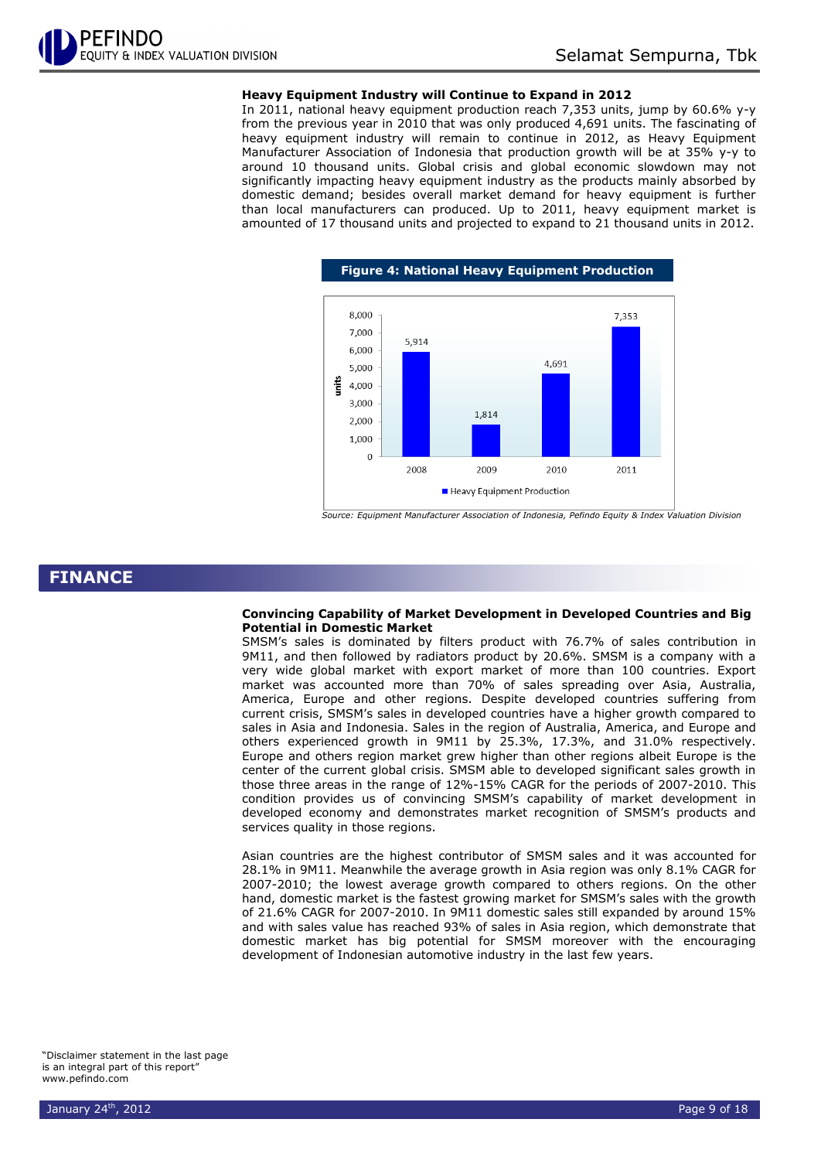#### **Heavy Equipment Industry will Continue to Expand in 2012**

In 2011, national heavy equipment production reach 7,353 units, jump by 60.6% y-y from the previous year in 2010 that was only produced 4,691 units. The fascinating of heavy equipment industry will remain to continue in 2012, as Heavy Equipment Manufacturer Association of Indonesia that production growth will be at 35% y-y to around 10 thousand units. Global crisis and global economic slowdown may not significantly impacting heavy equipment industry as the products mainly absorbed by domestic demand; besides overall market demand for heavy equipment is further than local manufacturers can produced. Up to 2011, heavy equipment market is amounted of 17 thousand units and projected to expand to 21 thousand units in 2012.



*Source: Equipment Manufacturer Association of Indonesia, Pefindo Equity & Index Valuation Division*

### **FINANCE**

#### **Convincing Capability of Market Development in Developed Countries and Big Potential in Domestic Market**

SMSM's sales is dominated by filters product with 76.7% of sales contribution in 9M11, and then followed by radiators product by 20.6%. SMSM is a company with a very wide global market with export market of more than 100 countries. Export market was accounted more than 70% of sales spreading over Asia, Australia, America, Europe and other regions. Despite developed countries suffering from current crisis, SMSM's sales in developed countries have a higher growth compared to sales in Asia and Indonesia. Sales in the region of Australia, America, and Europe and others experienced growth in 9M11 by 25.3%, 17.3%, and 31.0% respectively. Europe and others region market grew higher than other regions albeit Europe is the center of the current global crisis. SMSM able to developed significant sales growth in those three areas in the range of 12%-15% CAGR for the periods of 2007-2010. This condition provides us of convincing SMSM's capability of market development in developed economy and demonstrates market recognition of SMSM's products and services quality in those regions.

Asian countries are the highest contributor of SMSM sales and it was accounted for 28.1% in 9M11. Meanwhile the average growth in Asia region was only 8.1% CAGR for 2007-2010; the lowest average growth compared to others regions. On the other hand, domestic market is the fastest growing market for SMSM's sales with the growth of 21.6% CAGR for 2007-2010. In 9M11 domestic sales still expanded by around 15% and with sales value has reached 93% of sales in Asia region, which demonstrate that domestic market has big potential for SMSM moreover with the encouraging development of Indonesian automotive industry in the last few years.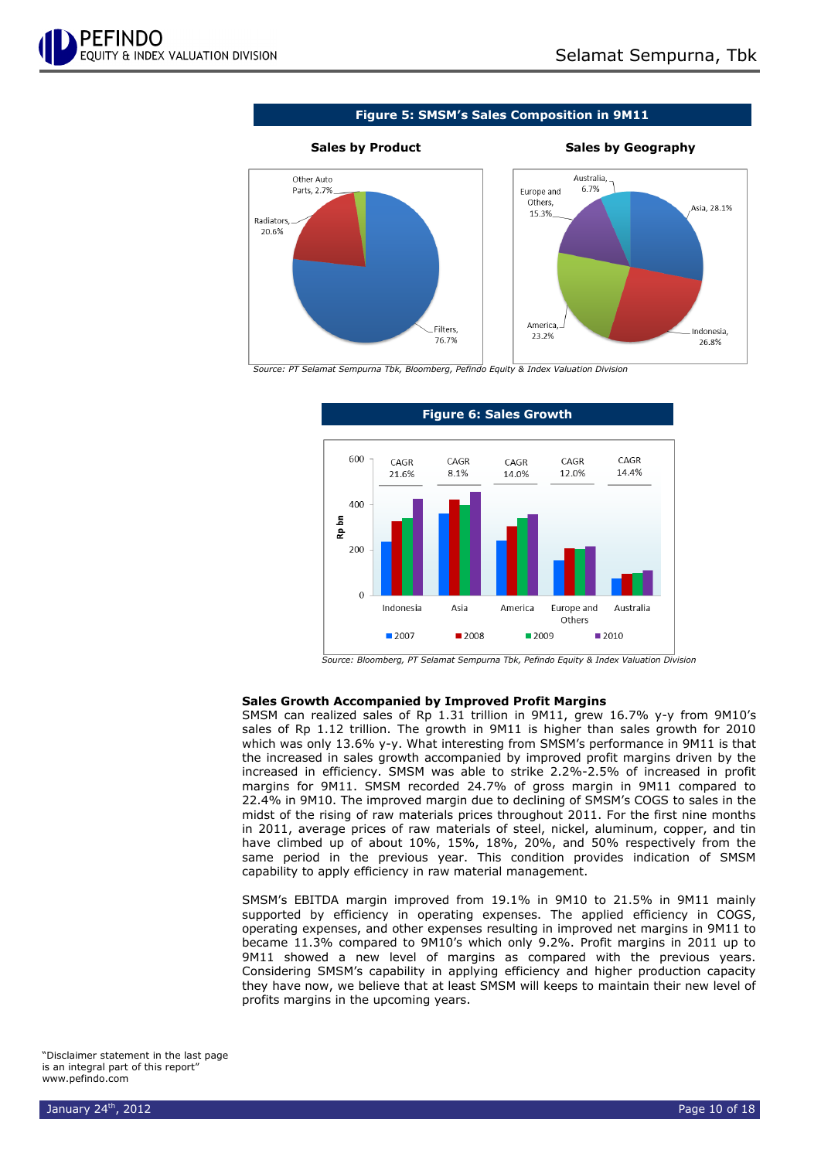

**Figure 5: SMSM's Sales Composition in 9M11**



#### **Sales by Product Sales by Geography**



*Source: PT Selamat Sempurna Tbk, Bloomberg, Pefindo Equity & Index Valuation Division*



**Figure 6: Sales Growth**

*Source: Bloomberg, PT Selamat Sempurna Tbk, Pefindo Equity & Index Valuation Division*

#### **Sales Growth Accompanied by Improved Profit Margins**

SMSM can realized sales of Rp 1.31 trillion in 9M11, grew 16.7% y-y from 9M10's sales of Rp 1.12 trillion. The growth in 9M11 is higher than sales growth for 2010 which was only 13.6% y-y. What interesting from SMSM's performance in 9M11 is that the increased in sales growth accompanied by improved profit margins driven by the increased in efficiency. SMSM was able to strike 2.2%-2.5% of increased in profit margins for 9M11. SMSM recorded 24.7% of gross margin in 9M11 compared to 22.4% in 9M10. The improved margin due to declining of SMSM's COGS to sales in the midst of the rising of raw materials prices throughout 2011. For the first nine months in 2011, average prices of raw materials of steel, nickel, aluminum, copper, and tin have climbed up of about 10%, 15%, 18%, 20%, and 50% respectively from the same period in the previous year. This condition provides indication of SMSM capability to apply efficiency in raw material management.

SMSM's EBITDA margin improved from 19.1% in 9M10 to 21.5% in 9M11 mainly supported by efficiency in operating expenses. The applied efficiency in COGS, operating expenses, and other expenses resulting in improved net margins in 9M11 to became 11.3% compared to 9M10's which only 9.2%. Profit margins in 2011 up to 9M11 showed a new level of margins as compared with the previous years. Considering SMSM's capability in applying efficiency and higher production capacity they have now, we believe that at least SMSM will keeps to maintain their new level of profits margins in the upcoming years.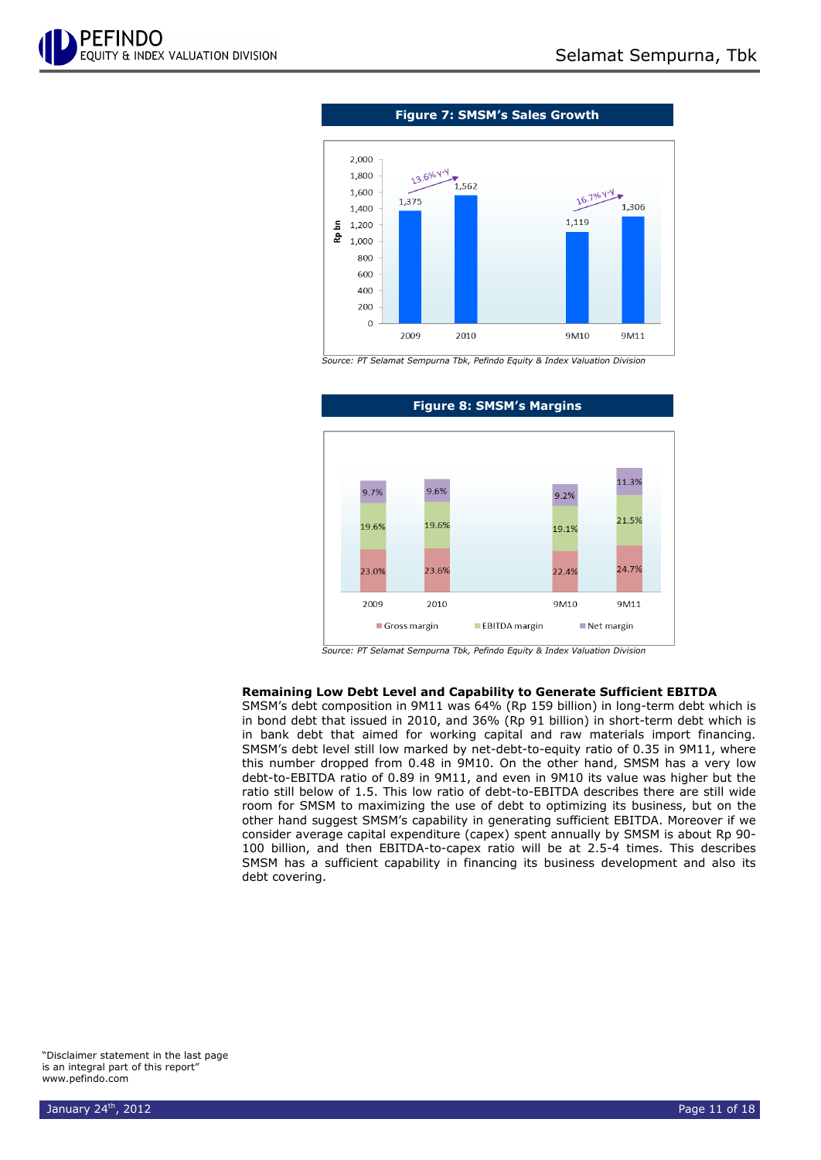



*Source: PT Selamat Sempurna Tbk, Pefindo Equity & Index Valuation Division*



#### **Figure 8: SMSM's Margins**

*Source: PT Selamat Sempurna Tbk, Pefindo Equity & Index Valuation Division*

#### **Remaining Low Debt Level and Capability to Generate Sufficient EBITDA**

SMSM's debt composition in 9M11 was 64% (Rp 159 billion) in long-term debt which is in bond debt that issued in 2010, and 36% (Rp 91 billion) in short-term debt which is in bank debt that aimed for working capital and raw materials import financing. SMSM's debt level still low marked by net-debt-to-equity ratio of 0.35 in 9M11, where this number dropped from 0.48 in 9M10. On the other hand, SMSM has a very low debt-to-EBITDA ratio of 0.89 in 9M11, and even in 9M10 its value was higher but the ratio still below of 1.5. This low ratio of debt-to-EBITDA describes there are still wide room for SMSM to maximizing the use of debt to optimizing its business, but on the other hand suggest SMSM's capability in generating sufficient EBITDA. Moreover if we consider average capital expenditure (capex) spent annually by SMSM is about Rp 90- 100 billion, and then EBITDA-to-capex ratio will be at 2.5-4 times. This describes SMSM has a sufficient capability in financing its business development and also its debt covering.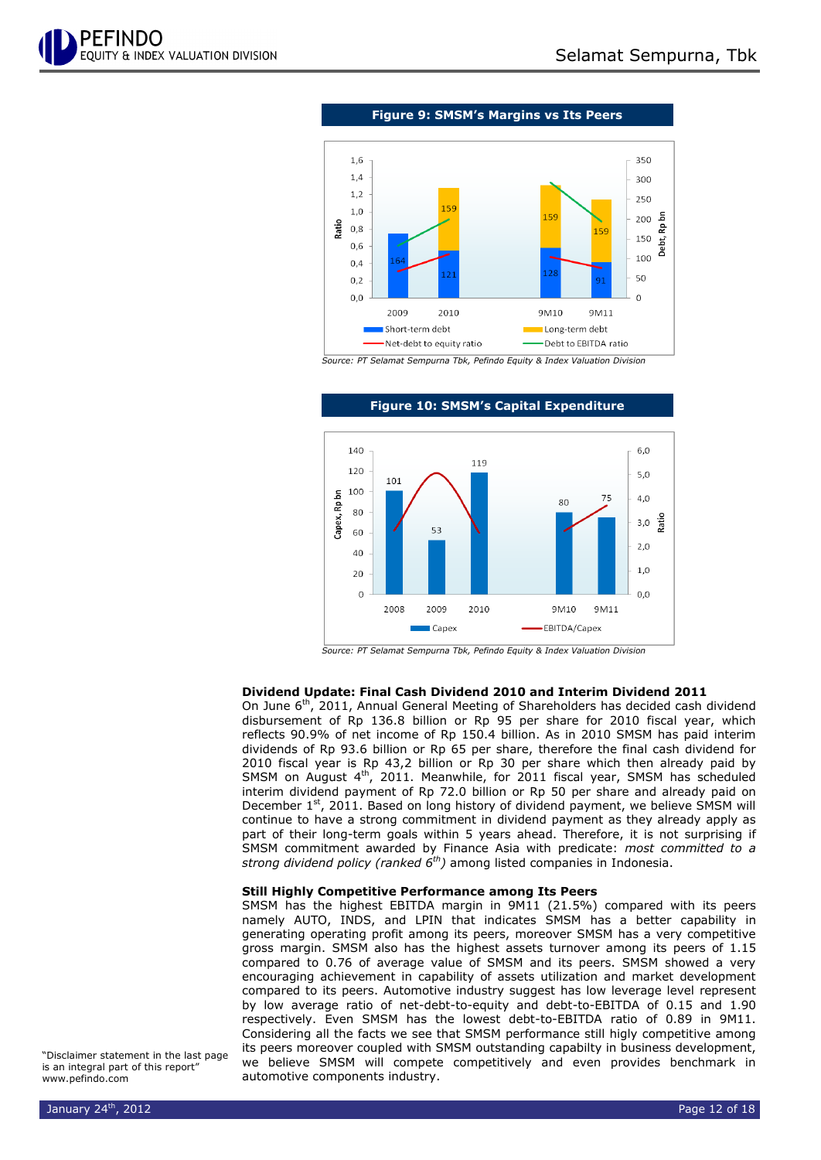

**Figure 9: SMSM's Margins vs Its Peers**



*Source: PT Selamat Sempurna Tbk, Pefindo Equity & Index Valuation Division*



#### **Figure 10: SMSM's Capital Expenditure**

*Source: PT Selamat Sempurna Tbk, Pefindo Equity & Index Valuation Division*

#### **Dividend Update: Final Cash Dividend 2010 and Interim Dividend 2011**

On June 6<sup>th</sup>, 2011, Annual General Meeting of Shareholders has decided cash dividend disbursement of Rp 136.8 billion or Rp 95 per share for 2010 fiscal year, which reflects 90.9% of net income of Rp 150.4 billion. As in 2010 SMSM has paid interim dividends of Rp 93.6 billion or Rp 65 per share, therefore the final cash dividend for 2010 fiscal year is Rp 43,2 billion or Rp 30 per share which then already paid by SMSM on August  $4<sup>th</sup>$ , 2011. Meanwhile, for 2011 fiscal year, SMSM has scheduled interim dividend payment of Rp 72.0 billion or Rp 50 per share and already paid on December  $1<sup>st</sup>$ , 2011. Based on long history of dividend payment, we believe SMSM will continue to have a strong commitment in dividend payment as they already apply as part of their long-term goals within 5 years ahead. Therefore, it is not surprising if SMSM commitment awarded by Finance Asia with predicate: *most committed to a strong dividend policy (ranked 6th)* among listed companies in Indonesia.

#### **Still Highly Competitive Performance among Its Peers**

SMSM has the highest EBITDA margin in 9M11 (21.5%) compared with its peers namely AUTO, INDS, and LPIN that indicates SMSM has a better capability in generating operating profit among its peers, moreover SMSM has a very competitive gross margin. SMSM also has the highest assets turnover among its peers of 1.15 compared to 0.76 of average value of SMSM and its peers. SMSM showed a very encouraging achievement in capability of assets utilization and market development compared to its peers. Automotive industry suggest has low leverage level represent by low average ratio of net-debt-to-equity and debt-to-EBITDA of 0.15 and 1.90 respectively. Even SMSM has the lowest debt-to-EBITDA ratio of 0.89 in 9M11. Considering all the facts we see that SMSM performance still higly competitive among its peers moreover coupled with SMSM outstanding capabilty in business development, we believe SMSM will compete competitively and even provides benchmark in automotive components industry.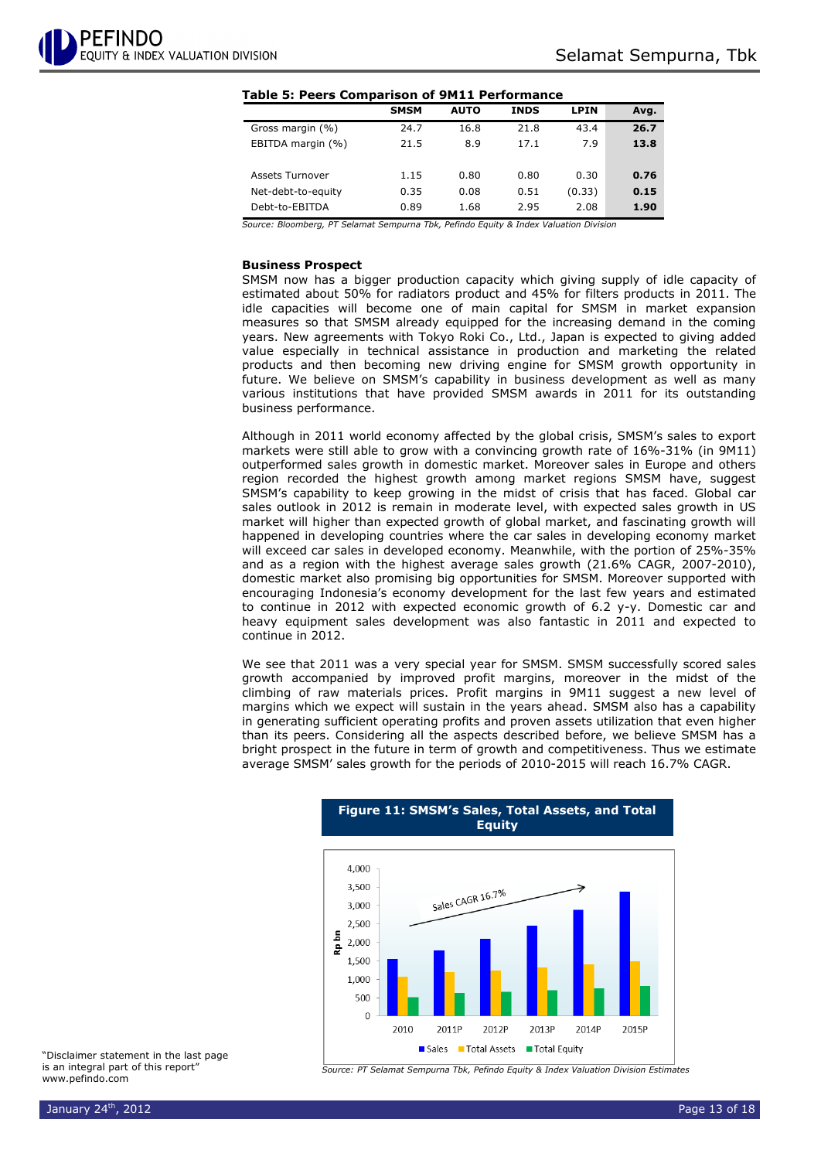#### **Table 5: Peers Comparison of 9M11 Performance**

|                        | <b>SMSM</b> | <b>AUTO</b> | <b>INDS</b> | <b>LPIN</b> | Avg. |
|------------------------|-------------|-------------|-------------|-------------|------|
| Gross margin (%)       | 24.7        | 16.8        | 21.8        | 43.4        | 26.7 |
| EBITDA margin (%)      | 21.5        | 8.9         | 17.1        | 7.9         | 13.8 |
|                        |             |             |             |             |      |
| <b>Assets Turnover</b> | 1.15        | 0.80        | 0.80        | 0.30        | 0.76 |
| Net-debt-to-equity     | 0.35        | 0.08        | 0.51        | (0.33)      | 0.15 |
| Debt-to-EBITDA         | 0.89        | 1.68        | 2.95        | 2.08        | 1.90 |
|                        |             |             |             |             |      |

*Source: Bloomberg, PT Selamat Sempurna Tbk, Pefindo Equity & Index Valuation Division*

#### **Business Prospect**

SMSM now has a bigger production capacity which giving supply of idle capacity of estimated about 50% for radiators product and 45% for filters products in 2011. The idle capacities will become one of main capital for SMSM in market expansion measures so that SMSM already equipped for the increasing demand in the coming years. New agreements with Tokyo Roki Co., Ltd., Japan is expected to giving added value especially in technical assistance in production and marketing the related products and then becoming new driving engine for SMSM growth opportunity in future. We believe on SMSM's capability in business development as well as many various institutions that have provided SMSM awards in 2011 for its outstanding business performance.

Although in 2011 world economy affected by the global crisis, SMSM's sales to export markets were still able to grow with a convincing growth rate of 16%-31% (in 9M11) outperformed sales growth in domestic market. Moreover sales in Europe and others region recorded the highest growth among market regions SMSM have, suggest SMSM's capability to keep growing in the midst of crisis that has faced. Global car sales outlook in 2012 is remain in moderate level, with expected sales growth in US market will higher than expected growth of global market, and fascinating growth will happened in developing countries where the car sales in developing economy market will exceed car sales in developed economy. Meanwhile, with the portion of 25%-35% and as a region with the highest average sales growth (21.6% CAGR, 2007-2010), domestic market also promising big opportunities for SMSM. Moreover supported with encouraging Indonesia's economy development for the last few years and estimated to continue in 2012 with expected economic growth of 6.2 y-y. Domestic car and heavy equipment sales development was also fantastic in 2011 and expected to continue in 2012.

We see that 2011 was a very special year for SMSM. SMSM successfully scored sales growth accompanied by improved profit margins, moreover in the midst of the climbing of raw materials prices. Profit margins in 9M11 suggest a new level of margins which we expect will sustain in the years ahead. SMSM also has a capability in generating sufficient operating profits and proven assets utilization that even higher than its peers. Considering all the aspects described before, we believe SMSM has a bright prospect in the future in term of growth and competitiveness. Thus we estimate average SMSM' sales growth for the periods of 2010-2015 will reach 16.7% CAGR.

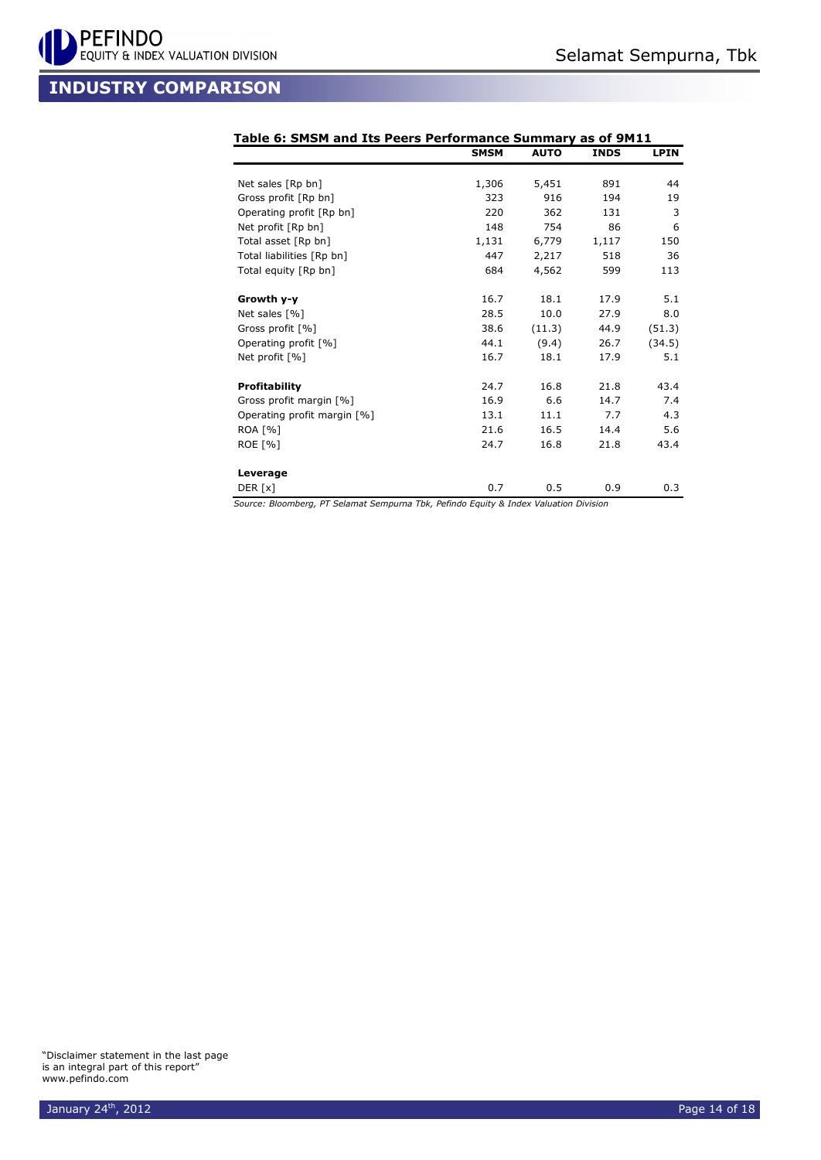

## **INDUSTRY COMPARISON**

|                             | <b>SMSM</b> | <b>AUTO</b> | <b>INDS</b> | <b>LPIN</b> |
|-----------------------------|-------------|-------------|-------------|-------------|
| Net sales [Rp bn]           | 1,306       | 5,451       | 891         | 44          |
| Gross profit [Rp bn]        | 323         | 916         | 194         | 19          |
| Operating profit [Rp bn]    | 220         | 362         | 131         | 3           |
| Net profit [Rp bn]          | 148         | 754         | 86          | 6           |
| Total asset [Rp bn]         | 1,131       | 6,779       | 1,117       | 150         |
| Total liabilities [Rp bn]   | 447         | 2,217       | 518         | 36          |
| Total equity [Rp bn]        | 684         | 4,562       | 599         | 113         |
| Growth y-y                  | 16.7        | 18.1        | 17.9        | 5.1         |
| Net sales [%]               | 28.5        | 10.0        | 27.9        | 8.0         |
| Gross profit [%]            | 38.6        | (11.3)      | 44.9        | (51.3)      |
| Operating profit [%]        | 44.1        | (9.4)       | 26.7        | (34.5)      |
| Net profit [%]              | 16.7        | 18.1        | 17.9        | 5.1         |
| <b>Profitability</b>        | 24.7        | 16.8        | 21.8        | 43.4        |
| Gross profit margin [%]     | 16.9        | 6.6         | 14.7        | 7.4         |
| Operating profit margin [%] | 13.1        | 11.1        | 7.7         | 4.3         |
| <b>ROA [%]</b>              | 21.6        | 16.5        | 14.4        | 5.6         |
| <b>ROE [%]</b>              | 24.7        | 16.8        | 21.8        | 43.4        |
| Leverage                    |             |             |             |             |
| DER [x]                     | 0.7         | 0.5         | 0.9         | 0.3         |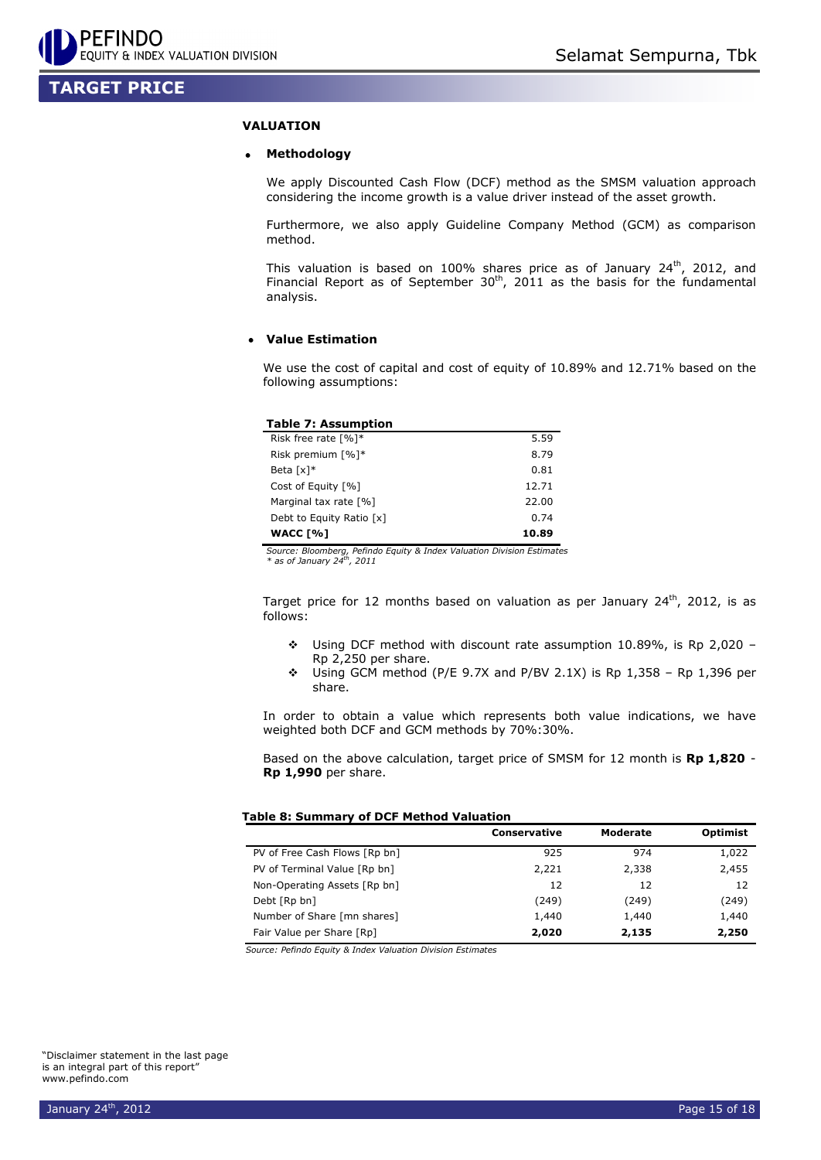## **TARGET PRICE**

#### **VALUATION**

#### **Methodology**

We apply Discounted Cash Flow (DCF) method as the SMSM valuation approach considering the income growth is a value driver instead of the asset growth.

Furthermore, we also apply Guideline Company Method (GCM) as comparison method.

This valuation is based on 100% shares price as of January 24<sup>th</sup>, 2012, and Financial Report as of September  $30<sup>th</sup>$ , 2011 as the basis for the fundamental analysis.

#### **Value Estimation**

We use the cost of capital and cost of equity of 10.89% and 12.71% based on the following assumptions:

| <b>Table 7: Assumption</b>          |       |
|-------------------------------------|-------|
| Risk free rate $\lceil \% \rceil$ * | 5.59  |
| Risk premium [%]*                   | 8.79  |
| Beta $\lceil x \rceil^*$            | 0.81  |
| Cost of Equity [%]                  | 12.71 |
| Marginal tax rate [%]               | 22.00 |
| Debt to Equity Ratio [x]            | 0.74  |
| <b>WACC [%]</b>                     | 10.89 |

*Source: Bloomberg, Pefindo Equity & Index Valuation Division Estimates \* as of January 24th , 2011* 

Target price for 12 months based on valuation as per January  $24^{th}$ , 2012, is as follows:

- Using DCF method with discount rate assumption 10.89%, is Rp 2,020 Rp 2,250 per share.
- $\div$  Using GCM method (P/E 9.7X and P/BV 2.1X) is Rp 1,358 Rp 1,396 per share.

In order to obtain a value which represents both value indications, we have weighted both DCF and GCM methods by 70%:30%.

Based on the above calculation, target price of SMSM for 12 month is **Rp 1,820** - **Rp 1,990** per share.

#### **Table 8: Summary of DCF Method Valuation**

|                               | <b>Conservative</b> | Moderate | <b>Optimist</b> |
|-------------------------------|---------------------|----------|-----------------|
| PV of Free Cash Flows [Rp bn] | 925                 | 974      | 1,022           |
| PV of Terminal Value [Rp bn]  | 2,221               | 2,338    | 2,455           |
| Non-Operating Assets [Rp bn]  | 12                  | 12       | 12              |
| Debt [Rp bn]                  | (249)               | (249)    | (249)           |
| Number of Share [mn shares]   | 1,440               | 1,440    | 1,440           |
| Fair Value per Share [Rp]     | 2,020               | 2,135    | 2,250           |

*Source: Pefindo Equity & Index Valuation Division Estimates*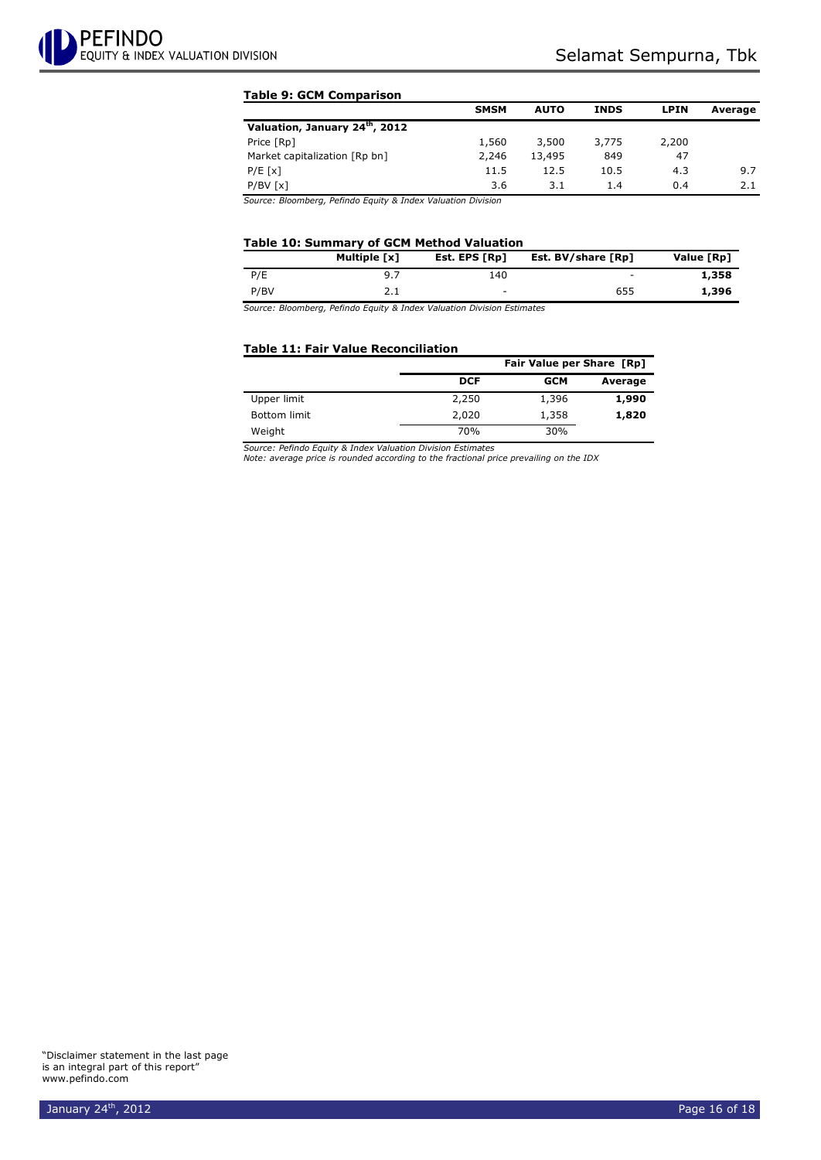#### **Table 9: GCM Comparison**

|        |                                       | <b>LPIN</b>                               | Average |
|--------|---------------------------------------|-------------------------------------------|---------|
|        |                                       |                                           |         |
| 3,500  | 3,775                                 | 2,200                                     |         |
| 13,495 | 849                                   | 47                                        |         |
|        | 10.5                                  | 4.3                                       | 9.7     |
| 3.1    | 1.4                                   | 0.4                                       | 2.1     |
|        | 1,560<br>2,246<br>11.5<br>12.5<br>3.6 | <b>SMSM</b><br><b>INDS</b><br><b>AUTO</b> |         |

*Source: Bloomberg, Pefindo Equity & Index Valuation Division*

#### **Table 10: Summary of GCM Method Valuation**

|      | Multiple [x] | Est. EPS [Rp] | Est. BV/share [Rp] | Value [Rp] |
|------|--------------|---------------|--------------------|------------|
| P/E  | 9.7          | 140           | -                  | 1,358      |
| P/BV |              | $\sim$        | 655                | 1,396      |

*Source: Bloomberg, Pefindo Equity & Index Valuation Division Estimates*

#### **Table 11: Fair Value Reconciliation**

|              |            | Fair Value per Share [Rp] |         |  |  |  |  |
|--------------|------------|---------------------------|---------|--|--|--|--|
|              | <b>DCF</b> | <b>GCM</b>                | Average |  |  |  |  |
| Upper limit  | 2,250      | 1,396                     | 1,990   |  |  |  |  |
| Bottom limit | 2,020      | 1,358                     | 1,820   |  |  |  |  |
| Weight       | 70%        | 30%                       |         |  |  |  |  |

*Source: Pefindo Equity & Index Valuation Division Estimates*

*Note: average price is rounded according to the fractional price prevailing on the IDX*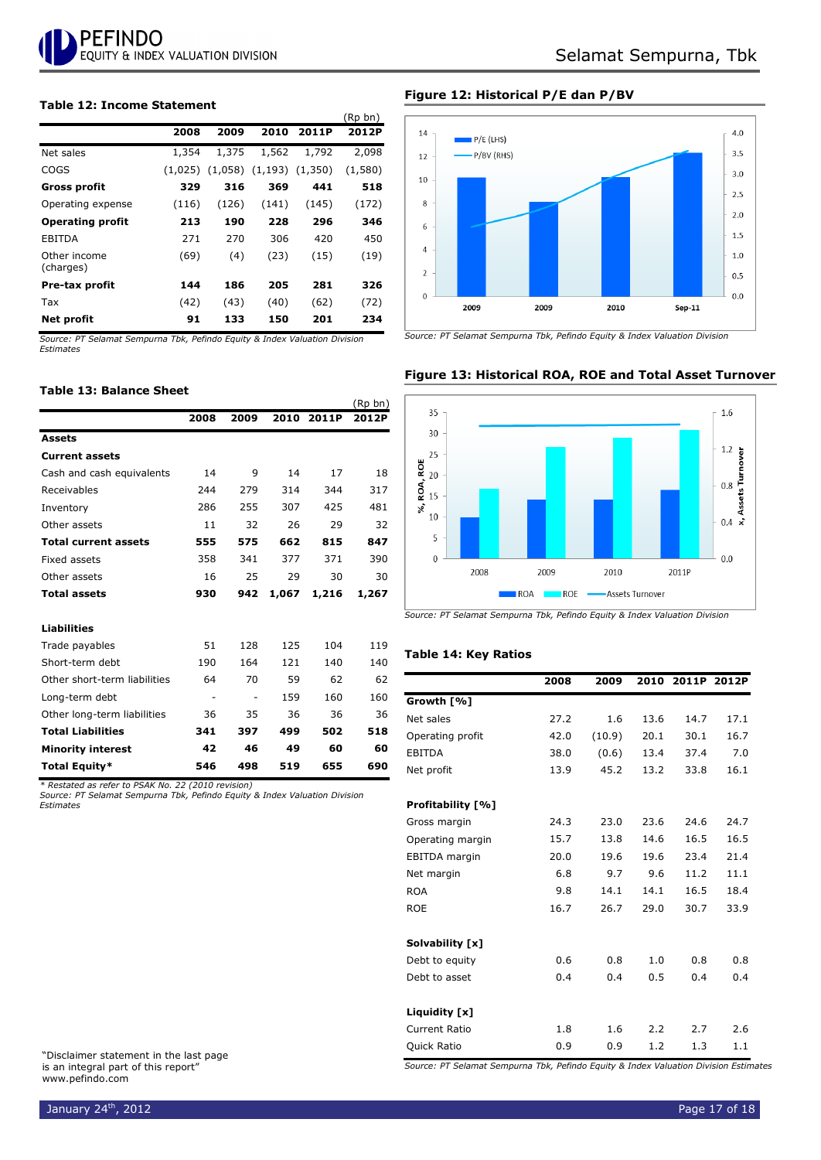

#### **Table 12: Income Statement**

|                           |         |       |                               |       | נווע עת |
|---------------------------|---------|-------|-------------------------------|-------|---------|
|                           | 2008    | 2009  | 2010                          | 2011P | 2012P   |
| Net sales                 | 1,354   | 1,375 | 1,562                         | 1,792 | 2,098   |
| COGS                      | (1,025) |       | $(1,058)$ $(1,193)$ $(1,350)$ |       | (1,580) |
| <b>Gross profit</b>       | 329     | 316   | 369                           | 441   | 518     |
| Operating expense         | (116)   | (126) | (141)                         | (145) | (172)   |
| <b>Operating profit</b>   | 213     | 190   | 228                           | 296   | 346     |
| EBITDA                    | 271     | 270   | 306                           | 420   | 450     |
| Other income<br>(charges) | (69)    | (4)   | (23)                          | (15)  | (19)    |
| Pre-tax profit            | 144     | 186   | 205                           | 281   | 326     |
| Tax                       | (42)    | (43)  | (40)                          | (62)  | (72)    |
| Net profit                | 91      | 133   | 150                           | 201   | 234     |

*Source: PT Selamat Sempurna Tbk, Pefindo Equity & Index Valuation Division Estimates*

#### **Table 13: Balance Sheet**

|                              |      |      |       |       | (Rp bn) |
|------------------------------|------|------|-------|-------|---------|
|                              | 2008 | 2009 | 2010  | 2011P | 2012P   |
| <b>Assets</b>                |      |      |       |       |         |
| <b>Current assets</b>        |      |      |       |       |         |
| Cash and cash equivalents    | 14   | 9    | 14    | 17    | 18      |
| Receivables                  | 244  | 279  | 314   | 344   | 317     |
| Inventory                    | 286  | 255  | 307   | 425   | 481     |
| Other assets                 | 11   | 32   | 26    | 29    | 32      |
| <b>Total current assets</b>  | 555  | 575  | 662   | 815   | 847     |
| Fixed assets                 | 358  | 341  | 377   | 371   | 390     |
| Other assets                 | 16   | 25   | 29    | 30    | 30      |
| <b>Total assets</b>          | 930  | 942  | 1,067 | 1,216 | 1,267   |
| <b>Liabilities</b>           |      |      |       |       |         |
| Trade payables               | 51   | 128  | 125   | 104   | 119     |
| Short-term debt              | 190  | 164  | 121   | 140   | 140     |
| Other short-term liabilities | 64   | 70   | 59    | 62    | 62      |
| Long-term debt               | ۰    |      | 159   | 160   | 160     |
| Other long-term liabilities  | 36   | 35   | 36    | 36    | 36      |
| <b>Total Liabilities</b>     | 341  | 397  | 499   | 502   | 518     |
| <b>Minority interest</b>     | 42   | 46   | 49    | 60    | 60      |
| Total Equity*                | 546  | 498  | 519   | 655   | 690     |

*\* Restated as refer to PSAK No. 22 (2010 revision)*

*Source: PT Selamat Sempurna Tbk, Pefindo Equity & Index Valuation Division Estimates*

"Disclaimer statement in the last page is an integral part of this report" www.pefindo.com

#### **Figure 12: Historical P/E dan P/BV**

 $(n + h)^2$ 



*Source: PT Selamat Sempurna Tbk, Pefindo Equity & Index Valuation Division*



#### **Figure 13: Historical ROA, ROE and Total Asset Turnover**

*Source: PT Selamat Sempurna Tbk, Pefindo Equity & Index Valuation Division*

#### **Table 14: Key Ratios**

|                      | 2008 | 2009   | 2010 | 2011P | 2012P |
|----------------------|------|--------|------|-------|-------|
| Growth [%]           |      |        |      |       |       |
| Net sales            | 27.2 | 1.6    | 13.6 | 14.7  | 17.1  |
| Operating profit     | 42.0 | (10.9) | 20.1 | 30.1  | 16.7  |
| <b>EBITDA</b>        | 38.0 | (0.6)  | 13.4 | 37.4  | 7.0   |
| Net profit           | 13.9 | 45.2   | 13.2 | 33.8  | 16.1  |
| Profitability [%]    |      |        |      |       |       |
| Gross margin         | 24.3 | 23.0   | 23.6 | 24.6  | 24.7  |
| Operating margin     | 15.7 | 13.8   | 14.6 | 16.5  | 16.5  |
| <b>EBITDA</b> margin | 20.0 | 19.6   | 19.6 | 23.4  | 21.4  |
| Net margin           | 6.8  | 9.7    | 9.6  | 11.2  | 11.1  |
| <b>ROA</b>           | 9.8  | 14.1   | 14.1 | 16.5  | 18.4  |
| <b>ROE</b>           | 16.7 | 26.7   | 29.0 | 30.7  | 33.9  |
| Solvability [x]      |      |        |      |       |       |
| Debt to equity       | 0.6  | 0.8    | 1.0  | 0.8   | 0.8   |
| Debt to asset        | 0.4  | 0.4    | 0.5  | 0.4   | 0.4   |
| Liquidity [x]        |      |        |      |       |       |
| <b>Current Ratio</b> | 1.8  | 1.6    | 2.2  | 2.7   | 2.6   |
| Quick Ratio          | 0.9  | 0.9    | 1.2  | 1.3   | 1.1   |

*Source: PT Selamat Sempurna Tbk, Pefindo Equity & Index Valuation Division Estimates* 

January 24<sup>th</sup>, 2012 **Page 17 of 18** Page 17 of 18